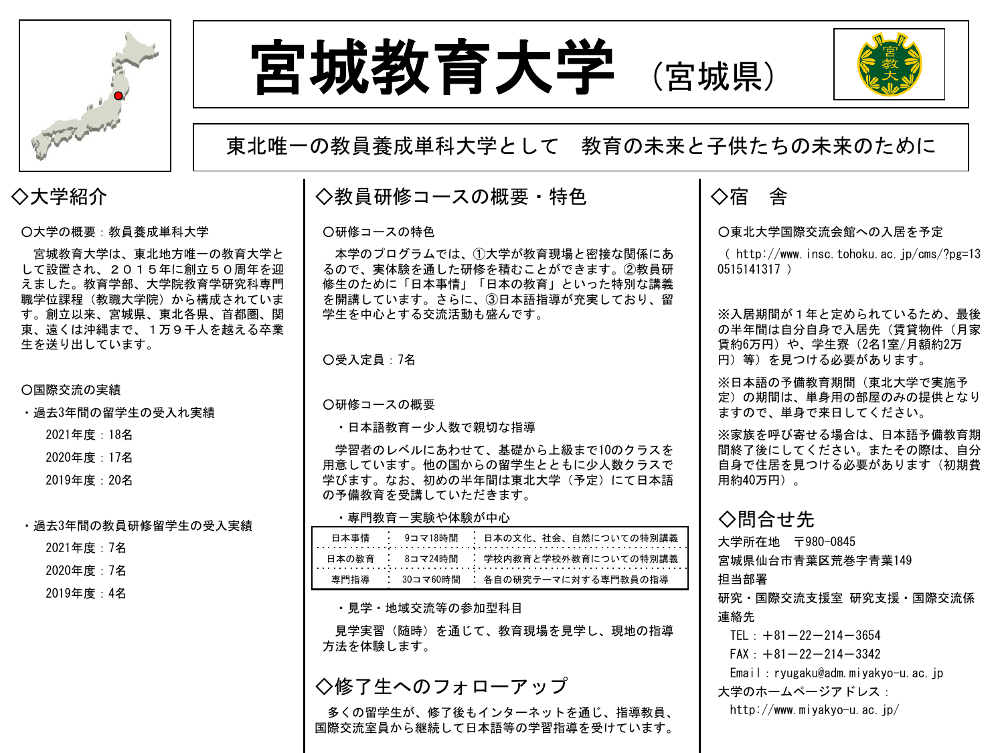





○大学の概要:教員養成単科大学

宮城教育大学は、東北地方唯一の教育大学と して設置され、2015年に創立50周年を迎 えました。教育学部、大学院教育学研究科専門 職学位課程(教職大学院)から構成されていま す。創立以来、宮城県、東北各県、首都圏、関 東、遠くは沖縄まで、1万9千人を越える卒業 生を送り出しています。

#### ○国際交流の実績

・過去3年間の留学生の受入れ実績

2021年度:18名

2020年度:17名

2019年度:20名

・過去3年間の教員研修留学生の受入実績

2021年度:7名

2020年度:7名

2019年度:4名

# 東北唯一の教員養成単科大学として 教育の未来と子供たちの未来のために

# ◇大学紹介 ┃◇教員研修コースの概要・特色 ┃◇宿 舎

#### ○研修コースの特色

本学のプログラムでは、①大学が教育現場と密接な関係にあ るので、実体験を通した研修を積むことができます。②教員研 修生のために「日本事情」「日本の教育」といった特別な講義 を開講しています。さらに、③日本語指導が充実しており、留 学生を中心とする交流活動も盛んです。

○受入定員:7名

#### ○研修コースの概要

・日本語教育-少人数で親切な指導

学習者のレベルにあわせて、基礎から上級まで10のクラスを 用意しています。他の国からの留学生とともに少人数クラスで 学びます。なお、初めの半年間は東北大学(予定)にて日本語 の予備教育を受講していただきます。

#### ・専門教育-実験や体験が中心

|  | 日本の教育 - 8コマ24時間 - 学校内教育と学校外教育についての特別講義 |
|--|----------------------------------------|
|  | 専門指導 : 30コマ60時間 : 各自の研究テーマに対する専門教員の指導  |

・見学・地域交流等の参加型科目

見学実習(随時)を通じて、教育現場を見学し、現地の指導 方法を体験します。

## ◇修了生へのフォローアップ

多くの留学生が、修了後もインターネットを通じ、指導教員、 国際交流室員から継続して日本語等の学習指導を受けています。

#### ○東北大学国際交流会館への入居を予定

( http://www.insc.tohoku.ac.jp/cms/?pg=13 0515141317 )

※入居期間が1年と定められているため、最後 の半年間は自分自身で入居先(賃貸物件(月家 賃約6万円)や、学生寮 (2名1室/月額約2万 円)等)を見つける必要があります。

※日本語の予備教育期間(東北大学で実施予 定)の期間は、単身用の部屋のみの提供となり ますので、単身で来日してください。

※家族を呼び寄せる場合は、日本語予備教育期 間終了後にしてください。またその際は、自分 自身で住居を見つける必要があります(初期費 用約40万円)。

### ◇問合せ先

大学所在地 〒980-0845 宮城県仙台市青葉区荒巻字青葉149 担当部署 研究・国際交流支援室 研究支援・国際交流係 連絡先 TEL:  $+81-22-214-3654$  $FAX: +81-22-214-3342$ Email:ryugaku@adm.miyakyo-u.ac.jp 大学のホームページアドレス: http://www.miyakyo-u.ac.jp/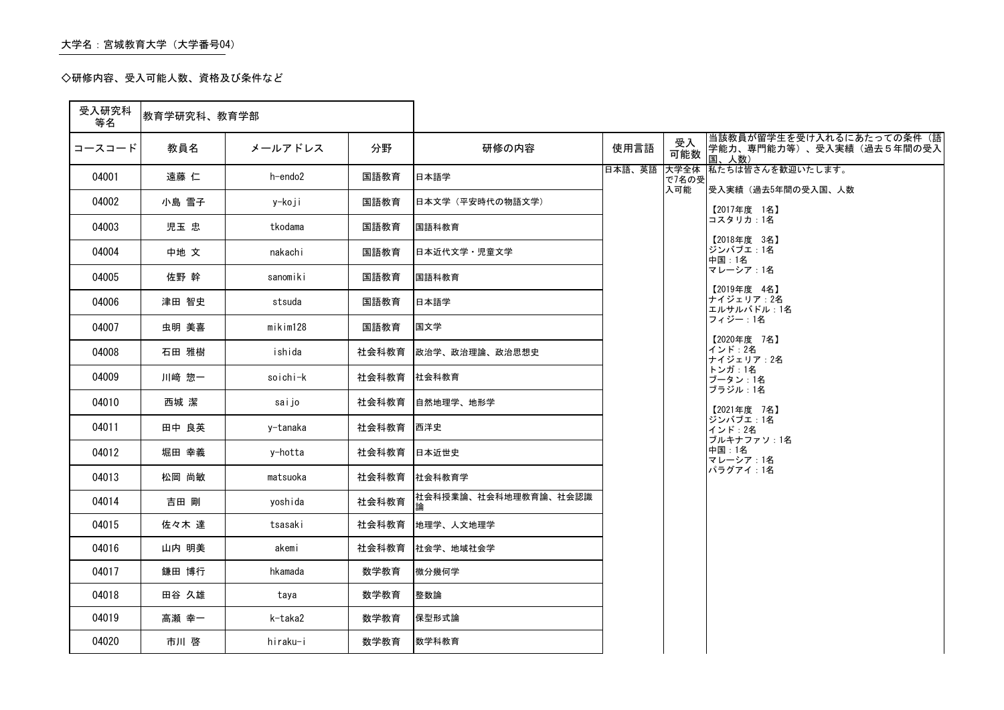### 大学名:宮城教育大学(大学番号04)

◇研修内容、受入可能人数、資格及び条件など

#### 当該教員が留学生を受け入れるにあたっての条件(語 学能力、専門能力等)、受入実績(過去5年間の受入

辺いたします。

うの受入国、人数

| 受入研究科<br>等名 | 教育学研究科、教育学部 |          |       |                            |        |               |                                          |
|-------------|-------------|----------|-------|----------------------------|--------|---------------|------------------------------------------|
| コースコード      | 教員名         | メールアドレス  | 分野    | 研修の内容                      | 使用言語   | 受入<br>可能数     | 当該教員が留学生を<br> 学能力、専門能力等<br>国、人数)         |
| 04001       | 遠藤 仁        | h-endo2  | 国語教育  | 日本語学                       | 日本語、英語 | 大学全体<br>で7名の受 | 私たちは皆さんを歓迎                               |
| 04002       | 小島 雪子       | y-koji   | 国語教育  | 日本文学 (平安時代の物語文学)           |        | 入可能           | 受入実績(過去5年間∈<br>【2017年度 1名】               |
| 04003       | 児玉 忠        | tkodama  | 国語教育  | 国語科教育                      |        |               | コスタリカ:1名                                 |
| 04004       | 中地 文        | nakachi  | 国語教育  | 日本近代文学·児童文学                |        |               | 【2018年度 3名】<br>ジンバブエ:1名<br>中国:1名         |
| 04005       | 佐野 幹        | sanomiki | 国語教育  | 国語科教育                      |        |               | マレーシア:1名                                 |
| 04006       | 津田 智史       | stsuda   | 国語教育  | 日本語学                       |        |               | 【2019年度 4名】<br> ナイジェリア:2名 <br>エルサルバドル:1名 |
| 04007       | 虫明 美喜       | mikim128 | 国語教育  | 国文学                        |        |               | フィジー:1名                                  |
| 04008       | 石田 雅樹       | ishida   | 社会科教育 | 政治学、政治理論、政治思想史             |        |               | 【2020年度 7名】<br>インド: 2名<br>ナイジェリア:2名      |
| 04009       | 川﨑 惣一       | soichi-k | 社会科教育 | 社会科教育                      |        |               | トンガ:1名<br>ブータン:1名                        |
| 04010       | 西城 潔        | saijo    | 社会科教育 | 自然地理学、地形学                  |        |               | ブラジル:1名<br>【2021年度 7名】                   |
| 04011       | 田中 良英       | y-tanaka | 社会科教育 | 西洋史                        |        |               | ジンバブエ:1名<br>インド : 2名                     |
| 04012       | 堀田 幸義       | y-hotta  | 社会科教育 | 日本近世史                      |        |               | ブルキナファソ:1名<br>中国:1名<br>マレーシア:1名          |
| 04013       | 松岡 尚敏       | matsuoka | 社会科教育 | 社会科教育学                     |        |               | パラグアイ:1名                                 |
| 04014       | 吉田 剛        | yoshida  | 社会科教育 | 松会科授業論、社会科地理教育論、社会認識<br> 論 |        |               |                                          |
| 04015       | 佐々木 達       | tsasaki  | 社会科教育 | 地理学、人文地理学                  |        |               |                                          |
| 04016       | 山内 明美       | akemi    | 社会科教育 | 社会学、地域社会学                  |        |               |                                          |
| 04017       | 鎌田 博行       | hkamada  | 数学教育  | 微分幾何学                      |        |               |                                          |
| 04018       | 田谷 久雄       | taya     | 数学教育  | 整数論                        |        |               |                                          |
| 04019       | 高瀬 幸一       | k-taka2  | 数学教育  | 保型形式論                      |        |               |                                          |
| 04020       | 市川 啓        | hiraku-i | 数学教育  | 数学科教育                      |        |               |                                          |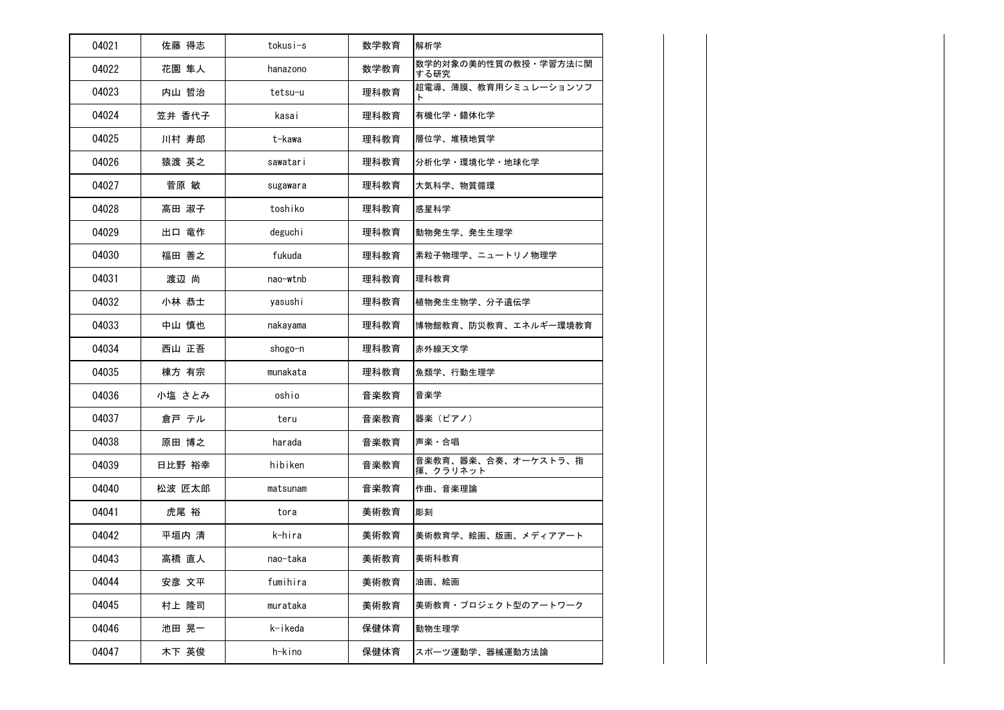| 04021 | 佐藤 得志  | tokusi-s | 数学教育 | 解析学                             |
|-------|--------|----------|------|---------------------------------|
| 04022 | 花園 隼人  | hanazono | 数学教育 | 数学的対象の美的性質の教授·学習方法に関<br>する研究    |
| 04023 | 内山 哲治  | tetsu-u  | 理科教育 | 超電導、薄膜、教育用シミュレーションソフ<br>F       |
| 04024 | 笠井 香代子 | kasai    | 理科教育 | 有機化学・錯体化学                       |
| 04025 | 川村 寿郎  | t-kawa   | 理科教育 | 層位学、堆積地質学                       |
| 04026 | 猿渡 英之  | sawatari | 理科教育 | 分析化学·環境化学·地球化学                  |
| 04027 | 菅原 敏   | sugawara | 理科教育 | 大気科学、物質循環                       |
| 04028 | 高田 淑子  | toshiko  | 理科教育 | 惑星科学                            |
| 04029 | 出口 竜作  | deguchi  | 理科教育 | 動物発生学、発生生理学                     |
| 04030 | 福田 善之  | fukuda   | 理科教育 | 素粒子物理学、ニュートリノ物理学                |
| 04031 | 渡辺 尚   | nao-wtnb | 理科教育 | 理科教育                            |
| 04032 | 小林 恭士  | yasushi  | 理科教育 | 植物発生生物学、分子遺伝学                   |
| 04033 | 中山 慎也  | nakayama | 理科教育 | 博物館教育、防災教育、エネルギー環境教育            |
| 04034 | 西山 正吾  | shogo-n  | 理科教育 | 赤外線天文学                          |
| 04035 | 棟方 有宗  | munakata | 理科教育 | 魚類学、行動生理学                       |
| 04036 | 小塩 さとみ | oshio    | 音楽教育 | 音楽学                             |
| 04037 | 倉戸 テル  | teru     | 音楽教育 | 器楽(ピアノ)                         |
| 04038 | 原田 博之  | harada   | 音楽教育 | 声楽・合唱                           |
| 04039 | 日比野 裕幸 | hibiken  | 音楽教育 | 音楽教育、器楽、合奏、オーケストラ、指<br>揮、クラリネット |
| 04040 | 松波 匠太郎 | matsunam | 音楽教育 | 作曲、音楽理論                         |
| 04041 | 虎尾 裕   | tora     | 美術教育 | 彫刻                              |
| 04042 | 平垣内 清  | k-hira   | 美術教育 | 美術教育学、絵画、版画、メディアアート             |
| 04043 | 高橋 直人  | nao-taka | 美術教育 | 美術科教育                           |
| 04044 | 安彦 文平  | fumihira | 美術教育 | 油画、絵画                           |
| 04045 | 村上 隆司  | murataka | 美術教育 | 美術教育・プロジェクト型のアートワーク             |
| 04046 | 池田 晃一  | k-ikeda  | 保健体育 | 動物生理学                           |
| 04047 | 木下 英俊  | h-kino   | 保健体育 | スポーツ運動学、器械運動方法論                 |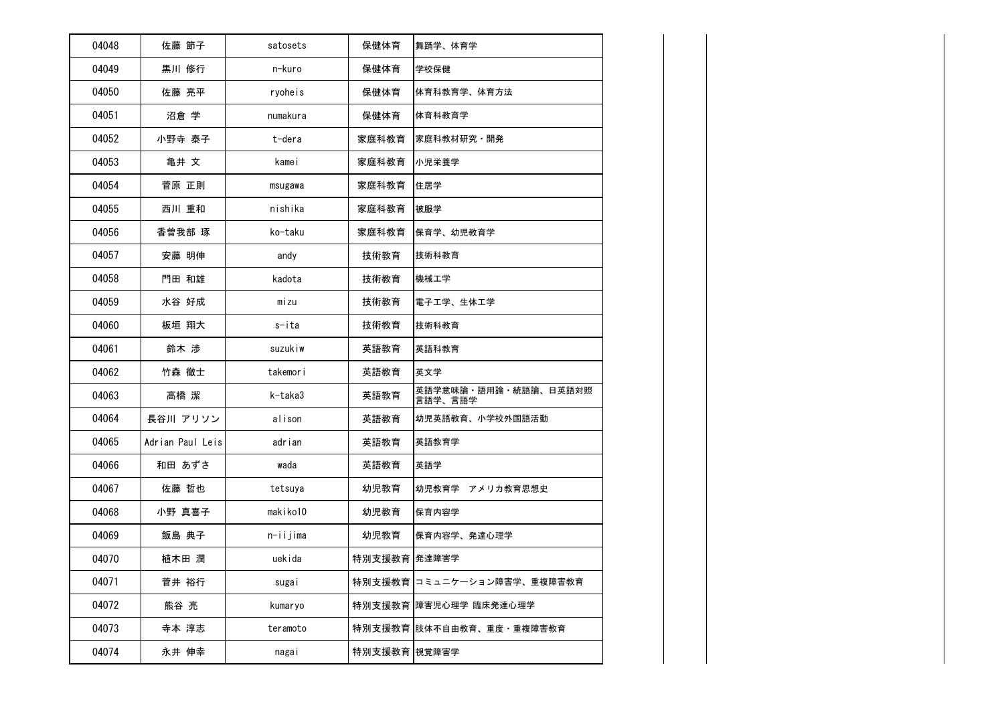| 04048 | 佐藤 節子            | satosets | 保健体育         | 舞踊学、体育学                         |
|-------|------------------|----------|--------------|---------------------------------|
| 04049 | 黒川 修行            | n-kuro   | 保健体育         | 学校保健                            |
| 04050 | 佐藤 亮平            | ryoheis  | 保健体育         | 体育科教育学、体育方法                     |
| 04051 | 沼倉 学             | numakura | 保健体育         | 体育科教育学                          |
| 04052 | 小野寺 泰子           | t-dera   | 家庭科教育        | 家庭科教材研究・開発                      |
| 04053 | 亀井 文             | kamei    | 家庭科教育        | 小児栄養学                           |
| 04054 | 菅原 正則            | msugawa  | 家庭科教育        | 住居学                             |
| 04055 | 西川 重和            | nishika  | 家庭科教育        | 被服学                             |
| 04056 | 香曽我部 琢           | ko-taku  | 家庭科教育        | 保育学、幼児教育学                       |
| 04057 | 安藤 明伸            | andy     | 技術教育         | 技術科教育                           |
| 04058 | 門田 和雄            | kadota   | 技術教育         | 機械工学                            |
| 04059 | 水谷 好成            | mizu     | 技術教育         | 電子工学、生体工学                       |
| 04060 | 板垣 翔大            | s-ita    | 技術教育         | 技術科教育                           |
| 04061 | 鈴木 渉             | suzukiw  | 英語教育         | 英語科教育                           |
| 04062 | 竹森 徹士            | takemori | 英語教育         | 英文学                             |
| 04063 | 高橋 潔             | k-taka3  | 英語教育         | 英語学意味論・語用論・統語論、日英語対照<br>言語学、言語学 |
| 04064 | 長谷川 アリソン         | alison   | 英語教育         | 幼児英語教育、小学校外国語活動                 |
| 04065 | Adrian Paul Leis | adrian   | 英語教育         | 英語教育学                           |
| 04066 | 和田 あずさ           | wada     | 英語教育         | 英語学                             |
| 04067 | 佐藤 哲也            | tetsuya  | 幼児教育         | 幼児教育学 アメリカ教育思想史                 |
| 04068 | 小野 真喜子           | makiko10 | 幼児教育         | 保育内容学                           |
| 04069 | 飯島 典子            | n-iijima | 幼児教育         | 保育内容学、発達心理学                     |
| 04070 | 植木田 潤            | uekida   | 特別支援教育 発達障害学 |                                 |
| 04071 | 菅井 裕行            | sugai    |              | 特別支援教育 コミュニケーション障害学、重複障害教育      |
| 04072 | 熊谷 亮             | kumaryo  |              | 特別支援教育 障害児心理学 臨床発達心理学           |
| 04073 | 寺本 淳志            | teramoto |              | 特別支援教育  肢体不自由教育、重度・重複障害教育       |
| 04074 | 永井 伸幸            | nagai    | 特別支援教育 視覚障害学 |                                 |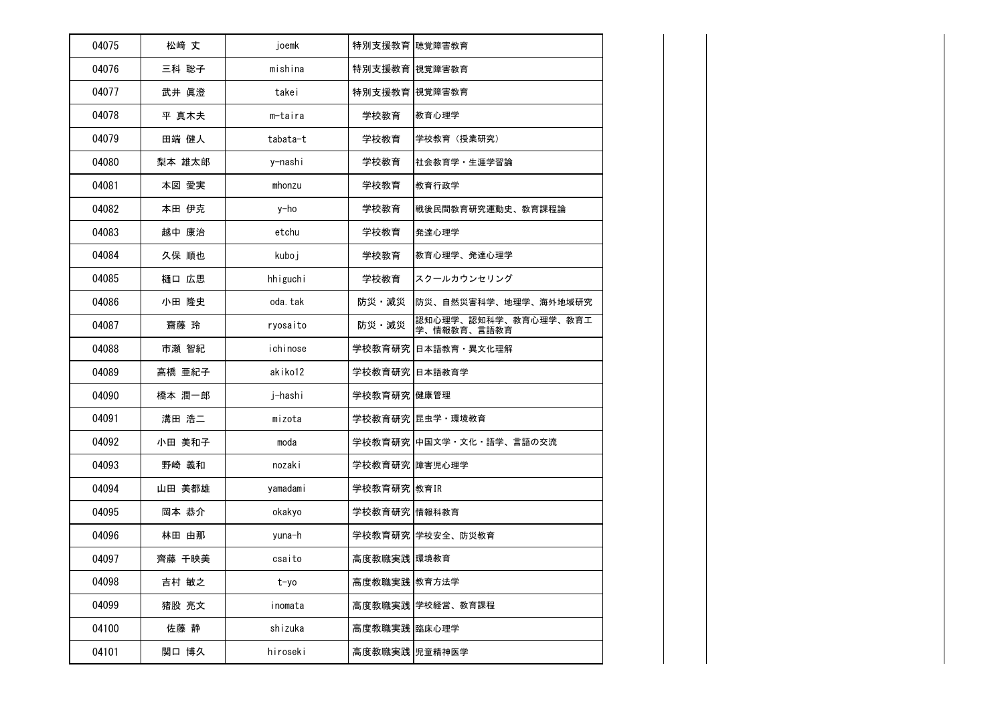| 04075 | 松崎 丈   | joemk    | 特別支援教育 聴覚障害教育  |                                     |
|-------|--------|----------|----------------|-------------------------------------|
| 04076 | 三科 聡子  | mishina  | 特別支援教育  視覚障害教育 |                                     |
| 04077 | 武井 眞澄  | takei    | 特別支援教育 視覚障害教育  |                                     |
| 04078 | 平 真木夫  | m-taira  | 学校教育           | 教育心理学                               |
| 04079 | 田端 健人  | tabata-t | 学校教育           | 学校教育 (授業研究)                         |
| 04080 | 梨本 雄太郎 | y-nashi  | 学校教育           | 社会教育学 · 生涯学習論                       |
| 04081 | 本図 愛実  | mhonzu   | 学校教育           | 教育行政学                               |
| 04082 | 本田 伊克  | y-ho     | 学校教育           | 戦後民間教育研究運動史、教育課程論                   |
| 04083 | 越中 康治  | etchu    | 学校教育           | 発達心理学                               |
| 04084 | 久保 順也  | kuboj    | 学校教育           | 教育心理学、発達心理学                         |
| 04085 | 樋口 広思  | hhiguchi | 学校教育           | スクールカウンセリング                         |
| 04086 | 小田 隆史  | oda. tak | 防災・減災          | 防災、自然災害科学、地理学、海外地域研究                |
| 04087 | 齋藤 玲   | ryosaito | 防災·減災          | 認知心理学、認知科学、教育心理学、教育工<br>学、情報教育、言語教育 |
| 04088 | 市瀬 智紀  | ichinose |                | 学校教育研究 日本語教育 · 異文化理解                |
| 04089 | 高橋 亜紀子 | akiko12  | 学校教育研究 日本語教育学  |                                     |
| 04090 | 橋本 潤一郎 | j-hashi  | 学校教育研究 健康管理    |                                     |
| 04091 | 溝田 浩二  | mizota   |                | 学校教育研究 昆虫学・環境教育                     |
| 04092 | 小田 美和子 | moda     |                | 学校教育研究 中国文学・文化・語学、言語の交流             |
| 04093 | 野崎 義和  | nozaki   | 学校教育研究 障害児心理学  |                                     |
| 04094 | 山田 美都雄 | yamadami | 学校教育研究 教育IR    |                                     |
| 04095 | 岡本 恭介  | okakyo   | 学校教育研究 情報科教育   |                                     |
| 04096 | 林田 由那  | yuna-h   |                | 学校教育研究 学校安全、防災教育                    |
| 04097 | 齊藤 千映美 | csaito   | 高度教職実践 環境教育    |                                     |
| 04098 | 吉村 敏之  | t-yo     | 高度教職実践 教育方法学   |                                     |
| 04099 | 猪股 亮文  | inomata  |                | 高度教職実践 学校経営、教育課程                    |
| 04100 | 佐藤 静   | shizuka  | 高度教職実践 臨床心理学   |                                     |
| 04101 | 関口 博久  | hiroseki | 高度教職実践 児童精神医学  |                                     |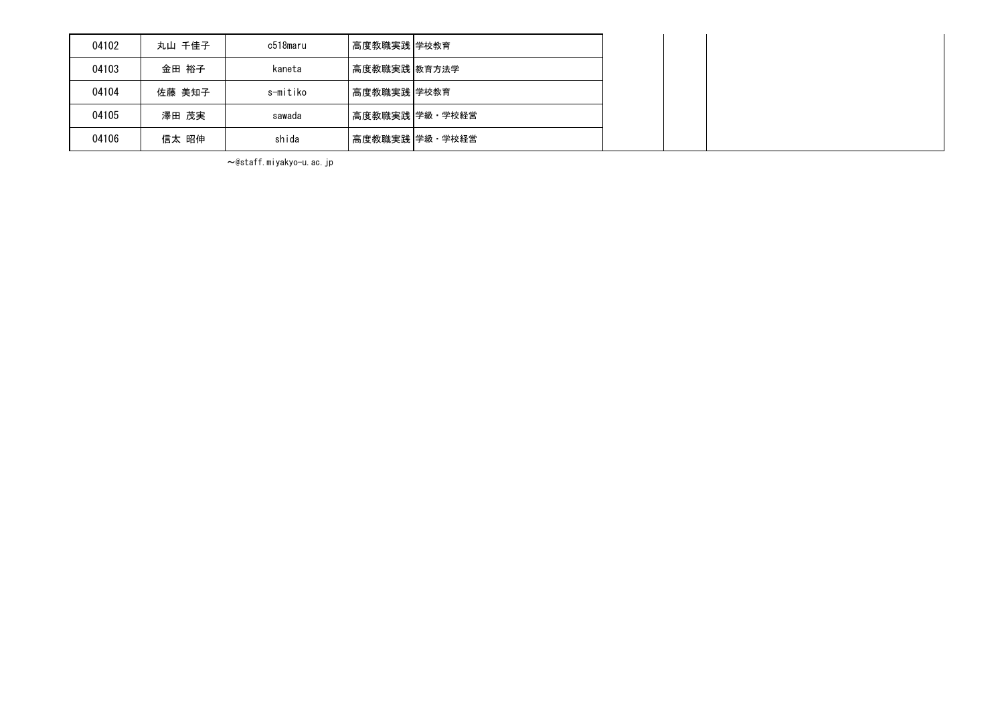| 04102 | 丸山 千佳子 | c518maru | 高度教職実践 学校教育  |                |  |  |
|-------|--------|----------|--------------|----------------|--|--|
| 04103 | 金田 裕子  | kaneta   | 高度教職実践 教育方法学 |                |  |  |
| 04104 | 佐藤 美知子 | s-mitiko | 高度教職実践 学校教育  |                |  |  |
| 04105 | 澤田 茂実  | sawada   |              | 高度教職実践 学級・学校経営 |  |  |
| 04106 | 信太 昭伸  | shida    |              | 高度教職実践 学級・学校経営 |  |  |

~@staff.miyakyo-u.ac.jp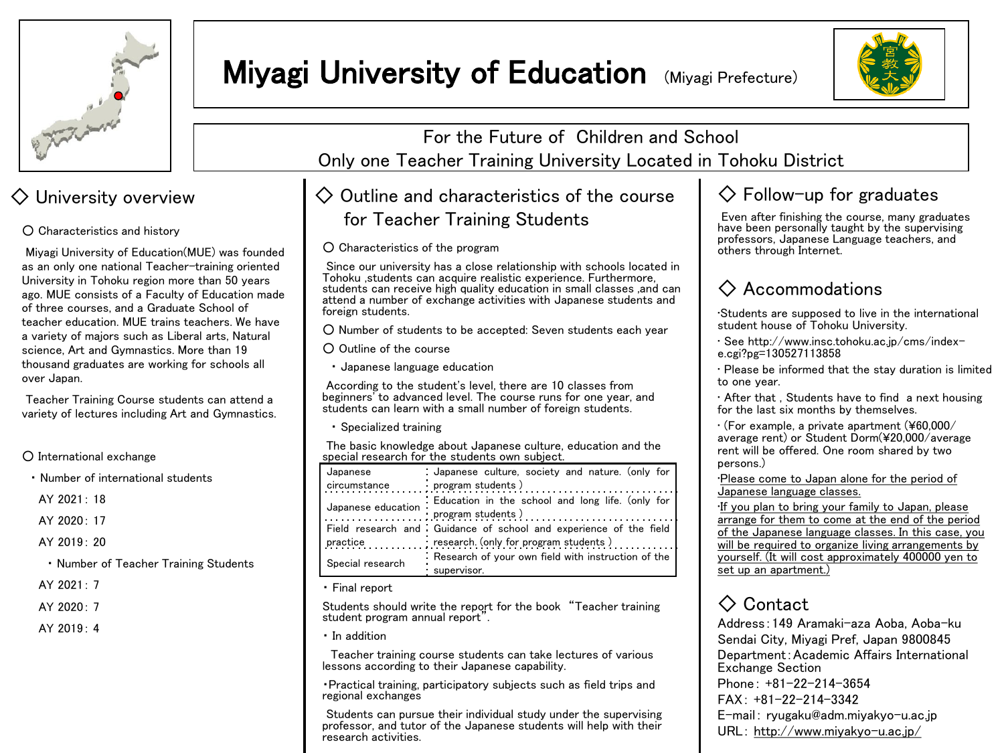

# **Miyagi University of Education (Miyagi Prefecture)**



Miyagi University of Education(MUE) was founded as an only one national Teacher-training oriented University in Tohoku region more than 50 years ago. MUE consists of a Faculty of Education made of three courses, and a Graduate School of teacher education. MUE trains teachers. We have a variety of majors such as Liberal arts, Natural science, Art and Gymnastics. More than 19 thousand graduates are working for schools all over Japan.

Teacher Training Course students can attend a variety of lectures including Art and Gymnastics.

○ International exchange

・ Number of international students

AY 2021: 18

AY 2020: 17

AY 2019: 20

- ・ Number of Teacher Training Students
- AY 2021: 7

 $AY 2020 \cdot 7$ 

AY 2019: 4

For the Future of Children and School Only one Teacher Training University Located in Tohoku District

# $\Diamond$  University overview  $\Diamond$  Outline and characteristics of the course O Characteristics and history **of the Characteristics and history containing Students**

○ Characteristics of the program

Since our university has a close relationship with schools located in Tohoku ,students can acquire realistic experience. Furthermore, students can receive high quality education in small classes ,and can attend a number of exchange activities with Japanese students and foreign students.

○ Number of students to be accepted: Seven students each year

○ Outline of the course

・ Japanese language education

According to the student's level, there are 10 classes from beginners' to advanced level. The course runs for one year, and students can learn with a small number of foreign students.

・ Specialized training

The basic knowledge about Japanese culture, education and the special research for the students own subject.

| Japanese           | : Japanese culture, society and nature. (only for                 |
|--------------------|-------------------------------------------------------------------|
|                    | circumstance program students)                                    |
| Japanese education | . Education in the school and long life. (only for                |
|                    | program students)                                                 |
|                    | Field research and Guidance of school and experience of the field |
| practice           | research. (only for program students)                             |
|                    | Research of your own field with instruction of the                |
| Special research   | supervisor.                                                       |

・ Final report

Students should write the report for the book "Teacher training student program annual report".

・ In addition

Teacher training course students can take lectures of various lessons according to their Japanese capability.

・Practical training, participatory subjects such as field trips and regional exchanges

Students can pursue their individual study under the supervising professor, and tutor of the Japanese students will help with their research activities.

## $\diamondsuit$  Follow-up for graduates

Even after finishing the course, many graduates have been personally taught by the supervising professors, Japanese Language teachers, and others through Internet.

# ◇ Accommodations

•Students are supposed to live in the international student house of Tohoku University.

• See http://www.insc.tohoku.ac.jp/cms/indexe.cgi?pg=130527113858

• Please be informed that the stay duration is limited to one year.

• After that , Students have to find a next housing for the last six months by themselves.

• (For example, a private apartment (¥60,000/ average rent) or Student Dorm(¥20,000/average rent will be offered. One room shared by two persons.)

•Please come to Japan alone for the period of Japanese language classes.

•If you plan to bring your family to Japan, please arrange for them to come at the end of the period of the Japanese language classes. In this case, you will be required to organize living arrangements by yourself. (It will cost approximately 400000 yen to set up an apartment.)

# ◇ Contact

Address:149 Aramaki-aza Aoba, Aoba-ku Sendai City, Miyagi Pref, Japan 9800845 Department:Academic Affairs International Exchange Section Phone: +81-22-214-3654 FAX: +81-22-214-3342 E-mail: ryugaku@adm.miyakyo-u.ac.jp URL: http://www.miyakyo-u.ac.jp/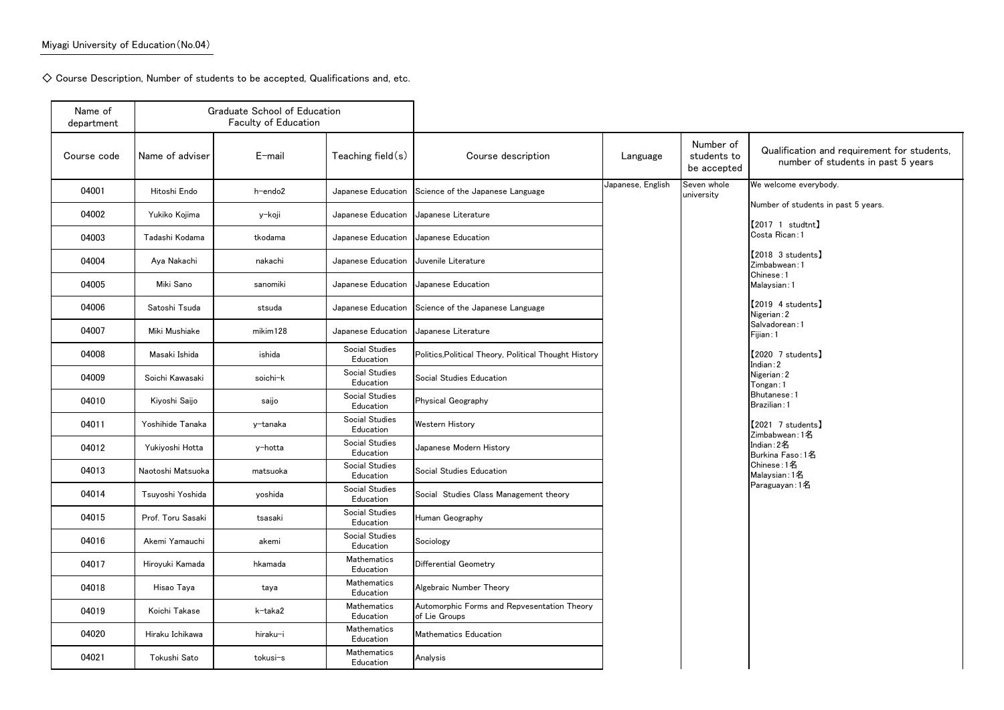$\diamondsuit$  Course Description, Number of students to be accepted, Qualifications and, etc.

| Name of<br>department |                   | <b>Graduate School of Education</b><br><b>Faculty of Education</b> |                             |                                                              |                   |                                         |                                                  |
|-----------------------|-------------------|--------------------------------------------------------------------|-----------------------------|--------------------------------------------------------------|-------------------|-----------------------------------------|--------------------------------------------------|
| Course code           | Name of adviser   | $E$ -mail                                                          | Teaching field $(s)$        | Course description                                           | Language          | Number of<br>students to<br>be accepted | Qualificatio<br>number                           |
| 04001                 | Hitoshi Endo      | h-endo2                                                            | Japanese Education          | Science of the Japanese Language                             | Japanese, English | Seven whole<br>university               | We welcome eve                                   |
| 04002                 | Yukiko Kojima     | y-koji                                                             | Japanese Education          | Japanese Literature                                          |                   |                                         | Number of stude                                  |
| 04003                 | Tadashi Kodama    | tkodama                                                            | Japanese Education          | Japanese Education                                           |                   |                                         | 【2017 1 studtr<br>Costa Rican: 1                 |
| 04004                 | Aya Nakachi       | nakachi                                                            | Japanese Education          | Juvenile Literature                                          |                   |                                         | 【2018 3 studen<br>Zimbabwean: 1                  |
| 04005                 | Miki Sano         | sanomiki                                                           | Japanese Education          | Japanese Education                                           |                   |                                         | Chinese: 1<br>Malaysian: 1                       |
| 04006                 | Satoshi Tsuda     | stsuda                                                             | Japanese Education          | Science of the Japanese Language                             |                   |                                         | 2019 4 studen<br>Nigerian: 2                     |
| 04007                 | Miki Mushiake     | mikim128                                                           | Japanese Education          | Japanese Literature                                          |                   |                                         | Salvadorean: 1<br>Fijian: 1                      |
| 04008                 | Masaki Ishida     | ishida                                                             | Social Studies<br>Education | Politics, Political Theory, Political Thought History        |                   |                                         | 【2020 7 studen                                   |
| 04009                 | Soichi Kawasaki   | soichi-k                                                           | Social Studies<br>Education | Social Studies Education                                     |                   |                                         | Indian:2<br>Nigerian: 2<br>Tongan: 1             |
| 04010                 | Kiyoshi Saijo     | saijo                                                              | Social Studies<br>Education | Physical Geography                                           |                   |                                         | Bhutanese: 1<br>Brazilian: 1                     |
| 04011                 | Yoshihide Tanaka  | y-tanaka                                                           | Social Studies<br>Education | Western History                                              |                   |                                         | 【2021 7 studen                                   |
| 04012                 | Yukiyoshi Hotta   | y-hotta                                                            | Social Studies<br>Education | Japanese Modern History                                      |                   |                                         | Zimbabwean: 1名<br>Indian: 2名<br>Burkina Faso: 12 |
| 04013                 | Naotoshi Matsuoka | matsuoka                                                           | Social Studies<br>Education | Social Studies Education                                     |                   |                                         | Chinese:1名<br>Malaysian: 1名                      |
| 04014                 | Tsuyoshi Yoshida  | yoshida                                                            | Social Studies<br>Education | Social Studies Class Management theory                       |                   |                                         | Paraguayan: 1名                                   |
| 04015                 | Prof. Toru Sasaki | tsasaki                                                            | Social Studies<br>Education | Human Geography                                              |                   |                                         |                                                  |
| 04016                 | Akemi Yamauchi    | akemi                                                              | Social Studies<br>Education | Sociology                                                    |                   |                                         |                                                  |
| 04017                 | Hiroyuki Kamada   | hkamada                                                            | Mathematics<br>Education    | Differential Geometry                                        |                   |                                         |                                                  |
| 04018                 | Hisao Taya        | taya                                                               | Mathematics<br>Education    | Algebraic Number Theory                                      |                   |                                         |                                                  |
| 04019                 | Koichi Takase     | k-taka2                                                            | Mathematics<br>Education    | Automorphic Forms and Repvesentation Theory<br>of Lie Groups |                   |                                         |                                                  |
| 04020                 | Hiraku Ichikawa   | hiraku-i                                                           | Mathematics<br>Education    | <b>Mathematics Education</b>                                 |                   |                                         |                                                  |
| 04021                 | Tokushi Sato      | tokusi-s                                                           | Mathematics<br>Education    | Analysis                                                     |                   |                                         |                                                  |

```
\epsilonation and requirement for students,
mber of students in past 5 years
e everybody.
students in past 5 years.
\mathsf{student} )
n:1\sf{tudents} \bf]n:1\mathsf{t}udents】
n:1tudents】
:1\sf{tudents} \bf]in:1名
so:1名
名
```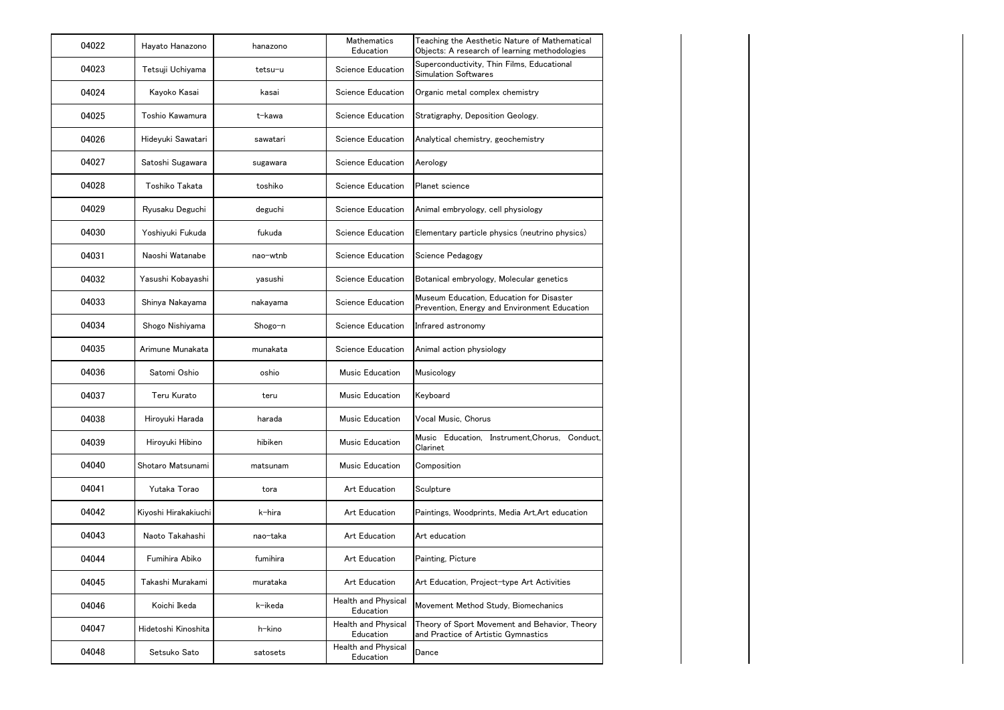| 04022 | Hayato Hanazono      | hanazono | <b>Mathematics</b><br>Education  | Teaching the Aesthetic Nature of Mathematical<br>Objects: A research of learning methodologies |
|-------|----------------------|----------|----------------------------------|------------------------------------------------------------------------------------------------|
| 04023 | Tetsuji Uchiyama     | tetsu-u  | <b>Science Education</b>         | Superconductivity, Thin Films, Educational<br><b>Simulation Softwares</b>                      |
| 04024 | Kayoko Kasai         | kasai    | Science Education                | Organic metal complex chemistry                                                                |
| 04025 | Toshio Kawamura      | t-kawa   | Science Education                | Stratigraphy, Deposition Geology.                                                              |
| 04026 | Hideyuki Sawatari    | sawatari | <b>Science Education</b>         | Analytical chemistry, geochemistry                                                             |
| 04027 | Satoshi Sugawara     | sugawara | <b>Science Education</b>         | Aerology                                                                                       |
| 04028 | Toshiko Takata       | toshiko  | <b>Science Education</b>         | Planet science                                                                                 |
| 04029 | Ryusaku Deguchi      | deguchi  | <b>Science Education</b>         | Animal embryology, cell physiology                                                             |
| 04030 | Yoshiyuki Fukuda     | fukuda   | <b>Science Education</b>         | Elementary particle physics (neutrino physics)                                                 |
| 04031 | Naoshi Watanabe      | nao-wtnb | <b>Science Education</b>         | Science Pedagogy                                                                               |
| 04032 | Yasushi Kobayashi    | yasushi  | <b>Science Education</b>         | Botanical embryology, Molecular genetics                                                       |
| 04033 | Shinya Nakayama      | nakayama | <b>Science Education</b>         | Museum Education, Education for Disaster<br>Prevention, Energy and Environment Education       |
| 04034 | Shogo Nishiyama      | Shogo-n  | Science Education                | Infrared astronomy                                                                             |
| 04035 | Arimune Munakata     | munakata | <b>Science Education</b>         | Animal action physiology                                                                       |
| 04036 | Satomi Oshio         | oshio    | Music Education                  | Musicology                                                                                     |
| 04037 | Teru Kurato          | teru     | Music Education                  | Keyboard                                                                                       |
| 04038 | Hiroyuki Harada      | harada   | Music Education                  | Vocal Music, Chorus                                                                            |
| 04039 | Hiroyuki Hibino      | hibiken  | Music Education                  | Music Education, Instrument, Chorus, Conduct,<br>Clarinet                                      |
| 04040 | Shotaro Matsunami    | matsunam | Music Education                  | Composition                                                                                    |
| 04041 | Yutaka Torao         | tora     | Art Education                    | Sculpture                                                                                      |
| 04042 | Kiyoshi Hirakakiuchi | k-hira   | Art Education                    | Paintings, Woodprints, Media Art, Art education                                                |
| 04043 | Naoto Takahashi      | nao-taka | Art Education                    | Art education                                                                                  |
| 04044 | Fumihira Abiko       | fumihira | Art Education                    | Painting, Picture                                                                              |
| 04045 | Takashi Murakami     | murataka | Art Education                    | Art Education, Project-type Art Activities                                                     |
| 04046 | Koichi Ikeda         | k-ikeda  | Health and Physical<br>Education | Movement Method Study, Biomechanics                                                            |
| 04047 | Hidetoshi Kinoshita  | h-kino   | Health and Physical<br>Education | Theory of Sport Movement and Behavior, Theory<br>and Practice of Artistic Gymnastics           |
| 04048 | Setsuko Sato         | satosets | Health and Physical<br>Education | Dance                                                                                          |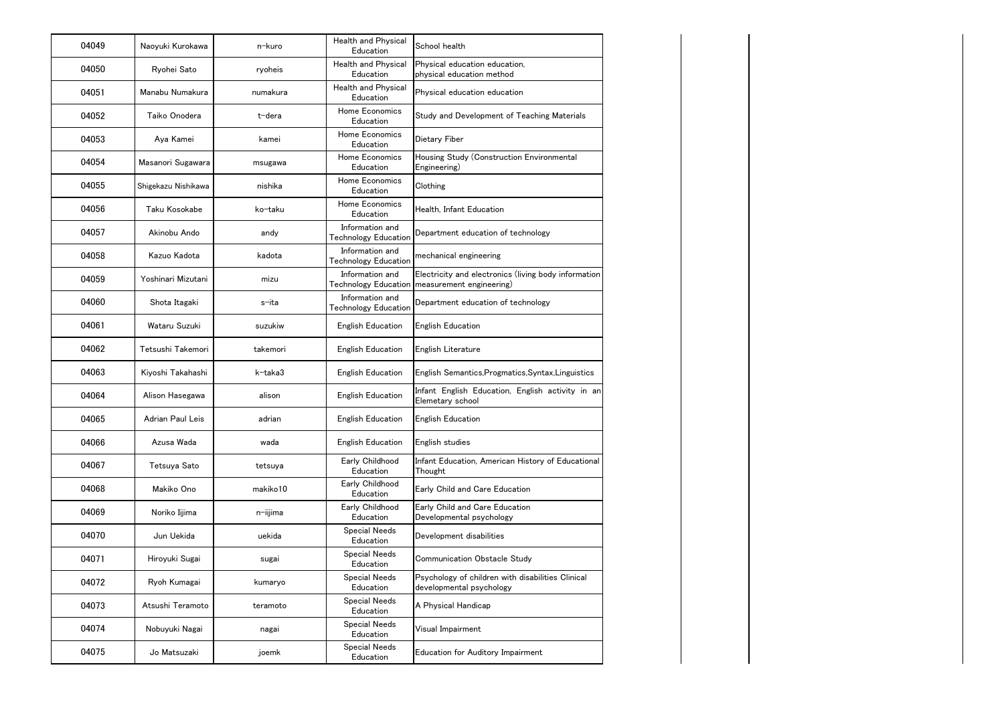| 04049 | Naoyuki Kurokawa    | n-kuro      | Health and Physical<br>Education               | School health                                                                                           |
|-------|---------------------|-------------|------------------------------------------------|---------------------------------------------------------------------------------------------------------|
| 04050 | Ryohei Sato         | ryoheis     | <b>Health and Physical</b><br>Education        | Physical education education,<br>physical education method                                              |
| 04051 | Manabu Numakura     | numakura    | Health and Physical<br>Education               | Physical education education                                                                            |
| 04052 | Taiko Onodera       | t-dera      | Home Economics<br>Education                    | Study and Development of Teaching Materials                                                             |
| 04053 | Aya Kamei           | kamei       | Home Economics<br>Education                    | Dietary Fiber                                                                                           |
| 04054 | Masanori Sugawara   | msugawa     | Home Economics<br>Education                    | Housing Study (Construction Environmental<br>Engineering)                                               |
| 04055 | Shigekazu Nishikawa | nishika     | Home Economics<br>Education                    | Clothing                                                                                                |
| 04056 | Taku Kosokabe       | ko-taku     | Home Economics<br>Education                    | Health, Infant Education                                                                                |
| 04057 | Akinobu Ando        | andy        | Information and<br><b>Technology Education</b> | Department education of technology                                                                      |
| 04058 | Kazuo Kadota        | kadota      | Information and<br><b>Technology Education</b> | mechanical engineering                                                                                  |
| 04059 | Yoshinari Mizutani  | mizu        | Information and                                | Electricity and electronics (living body information<br>Technology Education   measurement engineering) |
| 04060 | Shota Itagaki       | s-ita       | Information and<br><b>Technology Education</b> | Department education of technology                                                                      |
| 04061 | Wataru Suzuki       | suzukiw     | <b>English Education</b>                       | <b>English Education</b>                                                                                |
| 04062 | Tetsushi Takemori   | takemori    | <b>English Education</b>                       | English Literature                                                                                      |
| 04063 | Kiyoshi Takahashi   | k-taka3     | <b>English Education</b>                       | English Semantics, Progmatics, Syntax, Linguistics                                                      |
| 04064 | Alison Hasegawa     | alison      | <b>English Education</b>                       | Infant English Education, English activity in an<br>Elemetary school                                    |
| 04065 | Adrian Paul Leis    | adrian      | <b>English Education</b>                       | <b>English Education</b>                                                                                |
| 04066 | Azusa Wada          | wada        | <b>English Education</b>                       | English studies                                                                                         |
| 04067 | Tetsuya Sato        | tetsuya     | Early Childhood<br>Education                   | Infant Education, American History of Educational<br>Thought                                            |
| 04068 | Makiko Ono          | makiko10    | Early Childhood<br>Education                   | Early Child and Care Education                                                                          |
| 04069 | Noriko Iijima       | $n$ -iijima | Early Childhood<br>Education                   | Early Child and Care Education<br>Developmental psychology                                              |
| 04070 | Jun Uekida          | uekida      | <b>Special Needs</b><br>Education              | Development disabilities                                                                                |
| 04071 | Hiroyuki Sugai      | sugai       | <b>Special Needs</b><br>Education              | Communication Obstacle Study                                                                            |
| 04072 | Ryoh Kumagai        | kumaryo     | <b>Special Needs</b><br>Education              | Psychology of children with disabilities Clinical<br>developmental psychology                           |
| 04073 | Atsushi Teramoto    | teramoto    | <b>Special Needs</b><br>Education              | A Physical Handicap                                                                                     |
| 04074 | Nobuyuki Nagai      | nagai       | <b>Special Needs</b><br>Education              | Visual Impairment                                                                                       |
| 04075 | Jo Matsuzaki        | joemk       | <b>Special Needs</b><br>Education              | <b>Education for Auditory Impairment</b>                                                                |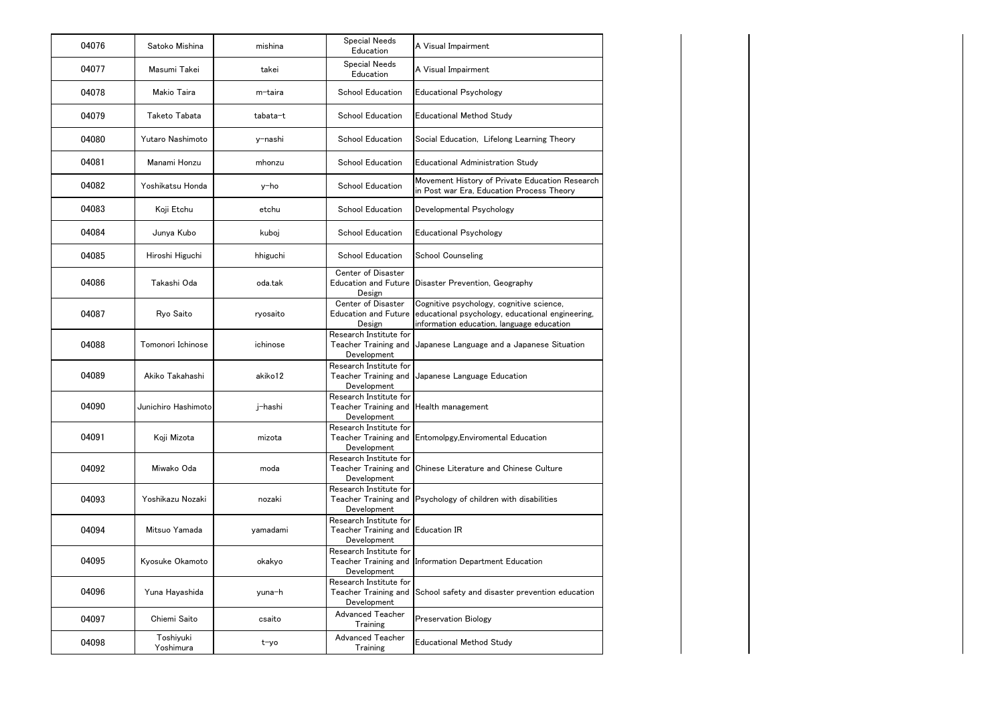| 04076 | Satoko Mishina         | mishina  | <b>Special Needs</b><br>Education                                          | A Visual Impairment                                                                                                                       |
|-------|------------------------|----------|----------------------------------------------------------------------------|-------------------------------------------------------------------------------------------------------------------------------------------|
| 04077 | Masumi Takei           | takei    | <b>Special Needs</b><br>Education                                          | A Visual Impairment                                                                                                                       |
| 04078 | Makio Taira            | m-taira  | <b>School Education</b>                                                    | <b>Educational Psychology</b>                                                                                                             |
| 04079 | Taketo Tabata          | tabata-t | <b>School Education</b>                                                    | <b>Educational Method Study</b>                                                                                                           |
| 04080 | Yutaro Nashimoto       | y-nashi  | <b>School Education</b>                                                    | Social Education, Lifelong Learning Theory                                                                                                |
| 04081 | Manami Honzu           | mhonzu   | <b>School Education</b>                                                    | <b>Educational Administration Study</b>                                                                                                   |
| 04082 | Yoshikatsu Honda       | y-ho     | <b>School Education</b>                                                    | Movement History of Private Education Research<br>in Post war Era, Education Process Theory                                               |
| 04083 | Koji Etchu             | etchu    | <b>School Education</b>                                                    | Developmental Psychology                                                                                                                  |
| 04084 | Junya Kubo             | kuboj    | <b>School Education</b>                                                    | <b>Educational Psychology</b>                                                                                                             |
| 04085 | Hiroshi Higuchi        | hhiguchi | <b>School Education</b>                                                    | <b>School Counseling</b>                                                                                                                  |
| 04086 | Takashi Oda            | oda.tak  | Center of Disaster<br><b>Education and Future</b><br>Design                | Disaster Prevention, Geography                                                                                                            |
| 04087 | Ryo Saito              | ryosaito | Center of Disaster<br><b>Education and Future</b><br>Design                | Cognitive psychology, cognitive science,<br>educational psychology, educational engineering,<br>information education, language education |
| 04088 | Tomonori Ichinose      | ichinose | Research Institute for<br>Teacher Training and<br>Development              | Japanese Language and a Japanese Situation                                                                                                |
| 04089 | Akiko Takahashi        | akiko12  | Research Institute for<br>Teacher Training and<br>Development              | Japanese Language Education                                                                                                               |
| 04090 | Junichiro Hashimoto    | j-hashi  | Research Institute for<br>Teacher Training and<br>Development              | Health management                                                                                                                         |
| 04091 | Koji Mizota            | mizota   | Research Institute for<br>Development                                      | Teacher Training and Entomolpgy, Enviromental Education                                                                                   |
| 04092 | Miwako Oda             | moda     | Research Institute for<br>Teacher Training and<br>Development              | Chinese Literature and Chinese Culture                                                                                                    |
| 04093 | Yoshikazu Nozaki       | nozaki   | Research Institute for<br>Development                                      | Teacher Training and Psychology of children with disabilities                                                                             |
| 04094 | Mitsuo Yamada          | yamadami | Research Institute for<br>Teacher Training and Education IR<br>Development |                                                                                                                                           |
| 04095 | Kyosuke Okamoto        | okakyo   | Research Institute for<br>Teacher Training and<br>Development              | Information Department Education                                                                                                          |
| 04096 | Yuna Hayashida         | yuna-h   | Research Institute for<br>Teacher Training and<br>Development              | School safety and disaster prevention education                                                                                           |
| 04097 | Chiemi Saito           | csaito   | <b>Advanced Teacher</b><br>Training                                        | <b>Preservation Biology</b>                                                                                                               |
| 04098 | Toshiyuki<br>Yoshimura | t-yo     | Advanced Teacher<br>Training                                               | <b>Educational Method Study</b>                                                                                                           |